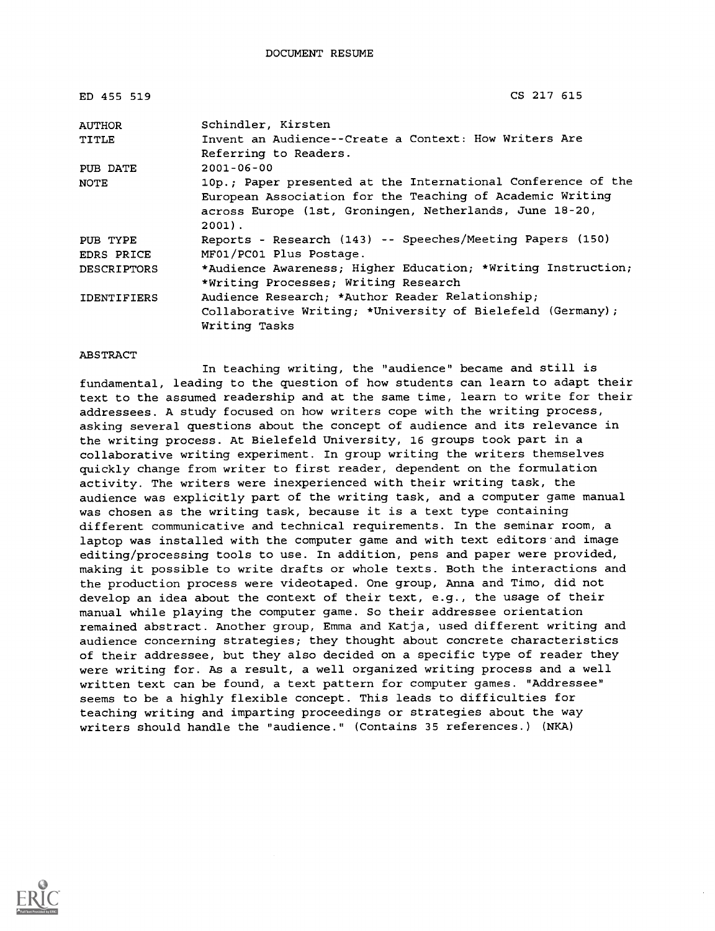| ED 455 519         | CS 217 615                                                                                                                                                                                       |
|--------------------|--------------------------------------------------------------------------------------------------------------------------------------------------------------------------------------------------|
| <b>AUTHOR</b>      | Schindler, Kirsten                                                                                                                                                                               |
| TITLE              | Invent an Audience--Create a Context: How Writers Are<br>Referring to Readers.                                                                                                                   |
| PUB DATE           | $2001 - 06 - 00$                                                                                                                                                                                 |
| NOTE               | 10p.; Paper presented at the International Conference of the<br>European Association for the Teaching of Academic Writing<br>across Europe (1st, Groningen, Netherlands, June 18-20,<br>$2001$ . |
| PUB TYPE           | Reports - Research (143) -- Speeches/Meeting Papers (150)                                                                                                                                        |
| EDRS PRICE         | MF01/PC01 Plus Postage.                                                                                                                                                                          |
| <b>DESCRIPTORS</b> | *Audience Awareness; Higher Education; *Writing Instruction;<br>*Writing Processes; Writing Research                                                                                             |
| <b>IDENTIFIERS</b> | Audience Research: *Author Reader Relationship;<br>Collaborative Writing; *University of Bielefeld (Germany);<br>Writing Tasks                                                                   |

#### ABSTRACT

In teaching writing, the "audience" became and still is fundamental, leading to the question of how students can learn to adapt their text to the assumed readership and at the same time, learn to write for their addressees. A study focused on how writers cope with the writing process, asking several questions about the concept of audience and its relevance in the writing process. At Bielefeld University, 16 groups took part in a collaborative writing experiment. In group writing the writers themselves quickly change from writer to first reader, dependent on the formulation activity. The writers were inexperienced with their writing task, the audience was explicitly part of the writing task, and a computer game manual was chosen as the writing task, because it is a text type containing different communicative and technical requirements. In the seminar room, a laptop was installed with the computer game and with text editors and image editing/processing tools to use. In addition, pens and paper were provided, making it possible to write drafts or whole texts. Both the interactions and the production process were videotaped. One group, Anna and Timo, did not develop an idea about the context of their text, e.g., the usage of their manual while playing the computer game. So their addressee orientation remained abstract. Another group, Emma and Katja, used different writing and audience concerning strategies; they thought about concrete characteristics of their addressee, but they also decided on a specific type of reader they were writing for. As a result, a well organized writing process and a well written text can be found, a text pattern for computer games. "Addressee" seems to be a highly flexible concept. This leads to difficulties for teaching writing and imparting proceedings or strategies about the way writers should handle the "audience." (Contains 35 references.) (NKA)

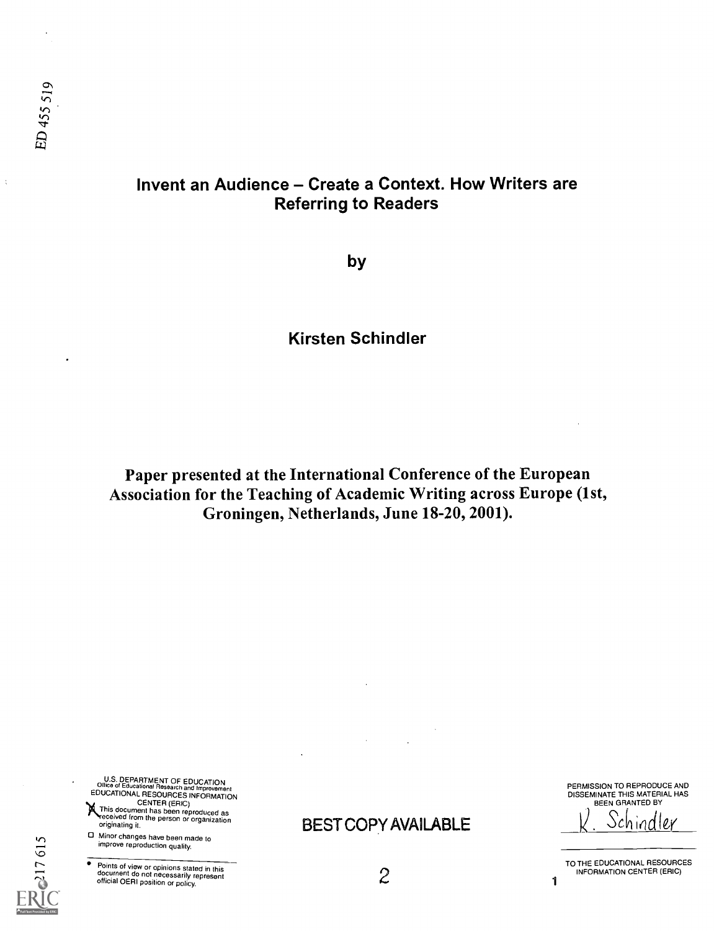$\frac{1}{4}$ 

# Invent an Audience - Create a Context. How Writers are Referring to Readers

by

# Kirsten Schindler

Paper presented at the International Conference of the European Association for the Teaching of Academic Writing across Europe (1st, Groningen, Netherlands, June 18-20, 2001).

U.S. DEPARTMENT OF EDUCATION<br>
EDUCATIONAL RESOURCES INFORMATION<br>
EDUCATIONAL RESOURCES INFORMATION<br>
This document has been reproduced as<br>
received from the person or organization<br>
originating it.

- 0 Minor changes have been made to
- improve reproduction quality.

**Points of view or opinions stated in this**<br>document do not necessarily represent<br>official OERI position or policy.

BEST COPY AVAILABLE

PERMISSION TO REPRODUCE AND DISSEMINATE THIS MATERIAL HAS BEEN GRANTED BY

Schin

TO THE EDUCATIONAL RESOURCES INFORMATION CENTER (ERIC)

 $2 \t 1$ 

 $\Gamma$   $\sim$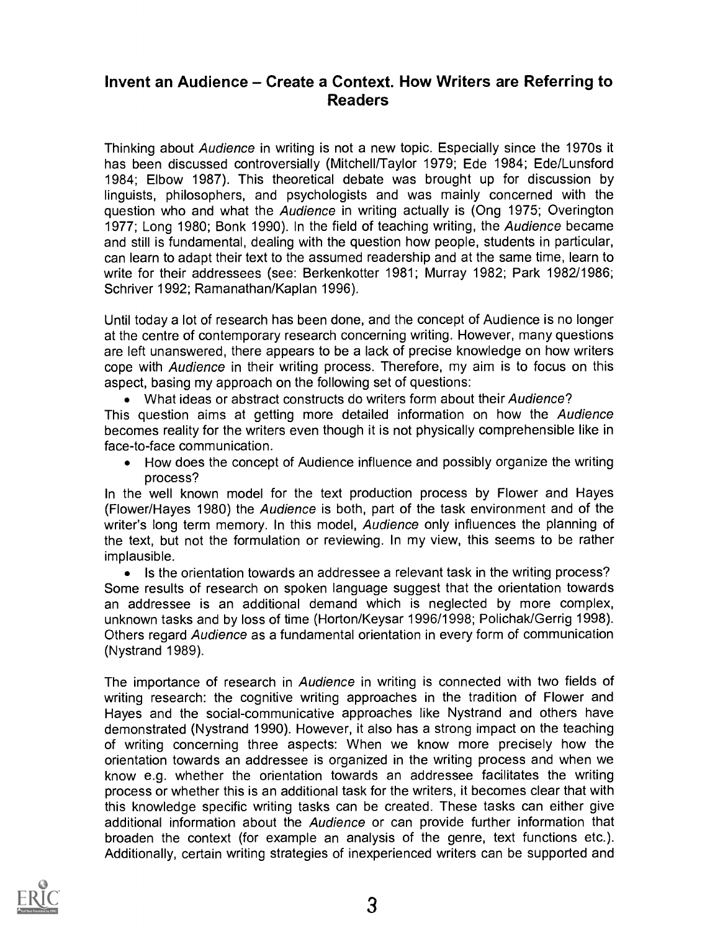## Invent an Audience – Create a Context. How Writers are Referring to Readers

Thinking about Audience in writing is not a new topic. Especially since the 1970s it has been discussed controversially (Mitchell/Taylor 1979; Ede 1984; Ede/Lunsford 1984; Elbow 1987). This theoretical debate was brought up for discussion by linguists, philosophers, and psychologists and was mainly concerned with the question who and what the Audience in writing actually is (Ong 1975; Overington 1977; Long 1980; Bonk 1990). In the field of teaching writing, the Audience became and still is fundamental, dealing with the question how people, students in particular, can learn to adapt their text to the assumed readership and at the same time, learn to write for their addressees (see: Berkenkotter 1981; Murray 1982; Park 1982/1986; Schriver 1992; Ramanathan/Kaplan 1996).

Until today a lot of research has been done, and the concept of Audience is no longer at the centre of contemporary research concerning writing. However, many questions are left unanswered, there appears to be a lack of precise knowledge on how writers cope with Audience in their writing process. Therefore, my aim is to focus on this aspect, basing my approach on the following set of questions:

• What ideas or abstract constructs do writers form about their Audience?

This question aims at getting more detailed information on how the Audience becomes reality for the writers even though it is not physically comprehensible like in face-to-face communication.

How does the concept of Audience influence and possibly organize the writing process?

In the well known model for the text production process by Flower and Hayes (Flower/Hayes 1980) the Audience is both, part of the task environment and of the writer's long term memory. In this model, Audience only influences the planning of the text, but not the formulation or reviewing. In my view, this seems to be rather implausible.

• Is the orientation towards an addressee a relevant task in the writing process? Some results of research on spoken language suggest that the orientation towards an addressee is an additional demand which is neglected by more complex, unknown tasks and by loss of time (Horton/Keysar 1996/1998; Polichak/Gerrig 1998). Others regard Audience as a fundamental orientation in every form of communication (Nystrand 1989).

The importance of research in Audience in writing is connected with two fields of writing research: the cognitive writing approaches in the tradition of Flower and Hayes and the social-communicative approaches like Nystrand and others have demonstrated (Nystrand 1990). However, it also has a strong impact on the teaching of writing concerning three aspects: When we know more precisely how the orientation towards an addressee is organized in the writing process and when we know e.g. whether the orientation towards an addressee facilitates the writing process or whether this is an additional task for the writers, it becomes clear that with this knowledge specific writing tasks can be created. These tasks can either give additional information about the Audience or can provide further information that broaden the context (for example an analysis of the genre, text functions etc.). Additionally, certain writing strategies of inexperienced writers can be supported and

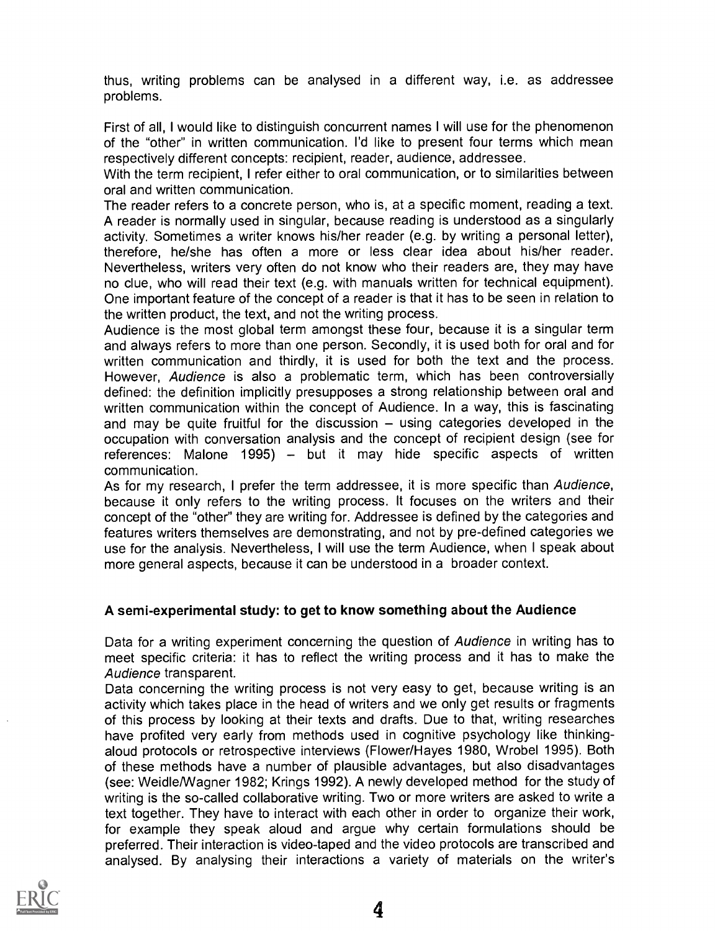thus, writing problems can be analysed in a different way, i.e. as addressee problems.

First of all, I would like to distinguish concurrent names I will use for the phenomenon of the "other" in written communication. I'd like to present four terms which mean respectively different concepts: recipient, reader, audience, addressee.

With the term recipient, I refer either to oral communication, or to similarities between oral and written communication.

The reader refers to a concrete person, who is, at a specific moment, reading a text. A reader is normally used in singular, because reading is understood as a singularly activity. Sometimes a writer knows his/her reader (e.g. by writing a personal letter), therefore, he/she has often a more or less clear idea about his/her reader. Nevertheless, writers very often do not know who their readers are, they may have no clue, who will read their text (e.g. with manuals written for technical equipment). One important feature of the concept of a reader is that it has to be seen in relation to the written product, the text, and not the writing process.

Audience is the most global term amongst these four, because it is a singular term and always refers to more than one person. Secondly, it is used both for oral and for written communication and thirdly, it is used for both the text and the process. However, Audience is also a problematic term, which has been controversially defined: the definition implicitly presupposes a strong relationship between oral and written communication within the concept of Audience. In a way, this is fascinating and may be quite fruitful for the discussion  $-$  using categories developed in the occupation with conversation analysis and the concept of recipient design (see for references: Malone 1995)  $-$  but it may hide specific aspects of written communication.

As for my research, I prefer the term addressee, it is more specific than Audience, because it only refers to the writing process. It focuses on the writers and their concept of the "other" they are writing for. Addressee is defined by the categories and features writers themselves are demonstrating, and not by pre-defined categories we use for the analysis. Nevertheless, I will use the term Audience, when I speak about more general aspects, because it can be understood in a broader context.

## A semi-experimental study: to get to know something about the Audience

Data for a writing experiment concerning the question of Audience in writing has to meet specific criteria: it has to reflect the writing process and it has to make the Audience transparent.

Data concerning the writing process is not very easy to get, because writing is an activity which takes place in the head of writers and we only get results or fragments of this process by looking at their texts and drafts. Due to that, writing researches have profited very early from methods used in cognitive psychology like thinkingaloud protocols or retrospective interviews (Flower/Hayes 1980, Wrobel 1995). Both of these methods have a number of plausible advantages, but also disadvantages (see: Weidle/Wagner 1982; Krings 1992). A newly developed method for the study of writing is the so-called collaborative writing. Two or more writers are asked to write a text together. They have to interact with each other in order to organize their work, for example they speak aloud and argue why certain formulations should be preferred. Their interaction is video-taped and the video protocols are transcribed and analysed. By analysing their interactions a variety of materials on the writer's

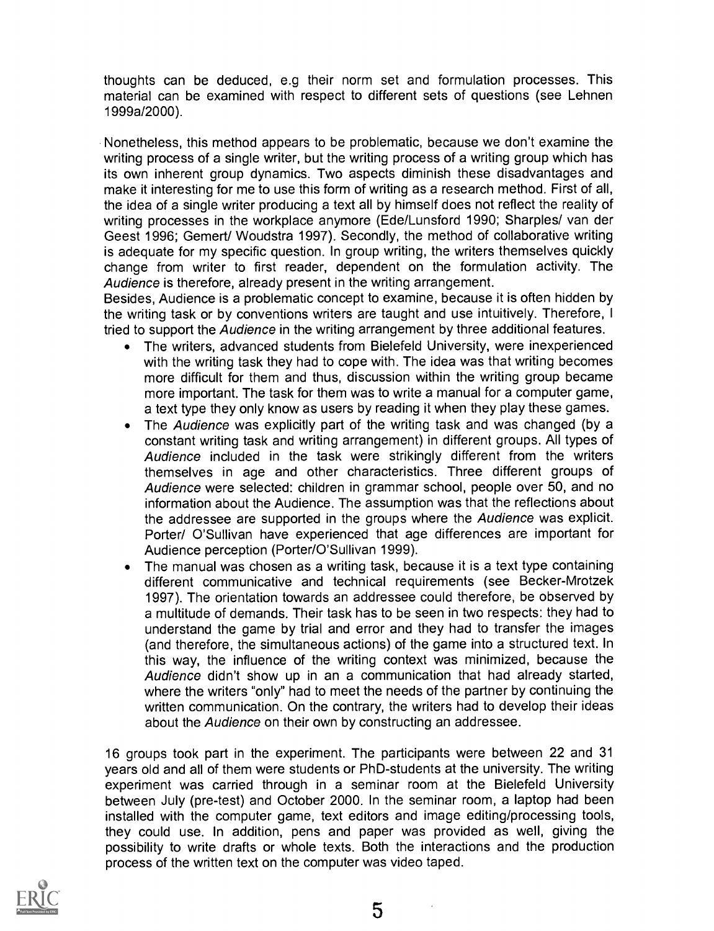thoughts can be deduced, e.g their norm set and formulation processes. This material can be examined with respect to different sets of questions (see Lehnen 1999a/2000).

Nonetheless, this method appears to be problematic, because we don't examine the writing process of a single writer, but the writing process of a writing group which has its own inherent group dynamics. Two aspects diminish these disadvantages and make it interesting for me to use this form of writing as a research method. First of all, the idea of a single writer producing a text all by himself does not reflect the reality of writing processes in the workplace anymore (Ede/Lunsford 1990; Sharples/ van der Geest 1996; Gemert/ Woudstra 1997). Secondly, the method of collaborative writing is adequate for my specific question. In group writing, the writers themselves quickly change from writer to first reader, dependent on the formulation activity. The Audience is therefore, already present in the writing arrangement.

Besides, Audience is a problematic concept to examine, because it is often hidden by the writing task or by conventions writers are taught and use intuitively. Therefore, I tried to support the Audience in the writing arrangement by three additional features.

- The writers, advanced students from Bielefeld University, were inexperienced with the writing task they had to cope with. The idea was that writing becomes more difficult for them and thus, discussion within the writing group became more important. The task for them was to write a manual for a computer game, a text type they only know as users by reading it when they play these games.
- The Audience was explicitly part of the writing task and was changed (by a constant writing task and writing arrangement) in different groups. All types of Audience included in the task were strikingly different from the writers themselves in age and other characteristics. Three different groups of Audience were selected: children in grammar school, people over 50, and no information about the Audience. The assumption was that the reflections about the addressee are supported in the groups where the Audience was explicit. Porter/ O'Sullivan have experienced that age differences are important for Audience perception (Porter/O'Sullivan 1999).
- The manual was chosen as a writing task, because it is a text type containing different communicative and technical requirements (see Becker-Mrotzek 1997). The orientation towards an addressee could therefore, be observed by a multitude of demands. Their task has to be seen in two respects: they had to understand the game by trial and error and they had to transfer the images (and therefore, the simultaneous actions) of the game into a structured text. In this way, the influence of the writing context was minimized, because the Audience didn't show up in an a communication that had already started, where the writers "only" had to meet the needs of the partner by continuing the written communication. On the contrary, the writers had to develop their ideas about the Audience on their own by constructing an addressee.

16 groups took part in the experiment. The participants were between 22 and 31 years old and all of them were students or PhD-students at the university. The writing experiment was carried through in a seminar room at the Bielefeld University between July (pre-test) and October 2000. In the seminar room, a laptop had been installed with the computer game, text editors and image editing/processing tools, they could use. In addition, pens and paper was provided as well, giving the possibility to write drafts or whole texts. Both the interactions and the production process of the written text on the computer was video taped.



 $\lambda$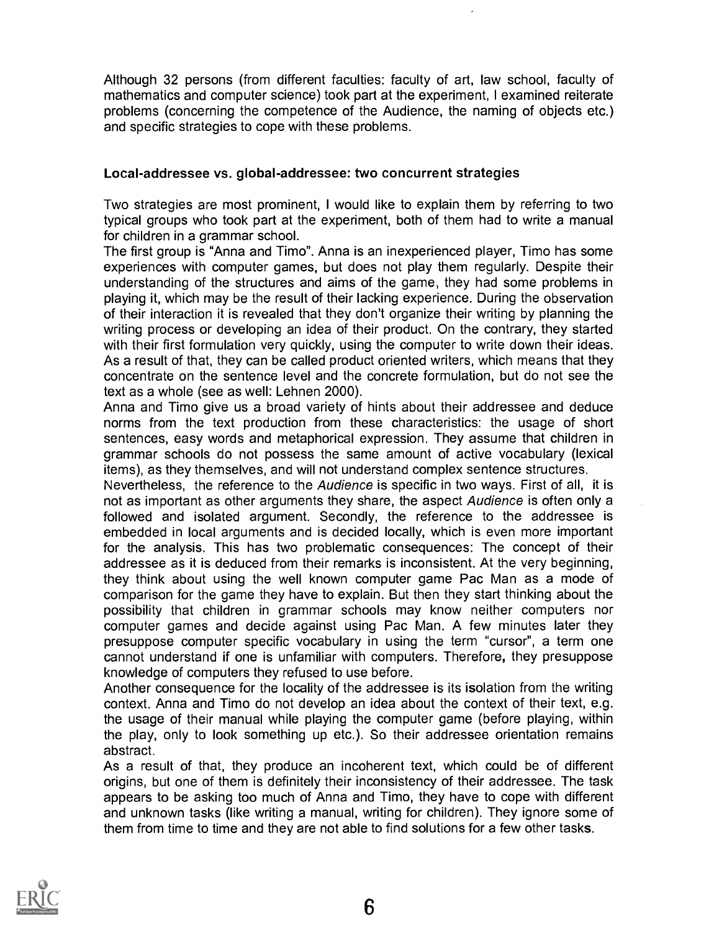Although 32 persons (from different faculties: faculty of art, law school, faculty of mathematics and computer science) took part at the experiment, I examined reiterate problems (concerning the competence of the Audience, the naming of objects etc.) and specific strategies to cope with these problems.

#### Local-addressee vs. global-addressee: two concurrent strategies

Two strategies are most prominent, I would like to explain them by referring to two typical groups who took part at the experiment, both of them had to write a manual for children in a grammar school.

The first group is "Anna and Timo". Anna is an inexperienced player, Timo has some experiences with computer games, but does not play them regularly. Despite their understanding of the structures and aims of the game, they had some problems in playing it, which may be the result of their lacking experience. During the observation of their interaction it is revealed that they don't organize their writing by planning the writing process or developing an idea of their product. On the contrary, they started with their first formulation very quickly, using the computer to write down their ideas. As a result of that, they can be called product oriented writers, which means that they concentrate on the sentence level and the concrete formulation, but do not see the text as a whole (see as well: Lehnen 2000).

Anna and Timo give us a broad variety of hints about their addressee and deduce norms from the text production from these characteristics: the usage of short sentences, easy words and metaphorical expression. They assume that children in grammar schools do not possess the same amount of active vocabulary (lexical items), as they themselves, and will not understand complex sentence structures.

Nevertheless, the reference to the Audience is specific in two ways. First of all, it is not as important as other arguments they share, the aspect Audience is often only a followed and isolated argument. Secondly, the reference to the addressee is embedded in local arguments and is decided locally, which is even more important for the analysis. This has two problematic consequences: The concept of their addressee as it is deduced from their remarks is inconsistent. At the very beginning, they think about using the well known computer game Pac Man as a mode of comparison for the game they have to explain. But then they start thinking about the possibility that children in grammar schools may know neither computers nor computer games and decide against using Pac Man. A few minutes later they presuppose computer specific vocabulary in using the term "cursor", a term one cannot understand if one is unfamiliar with computers. Therefore, they presuppose knowledge of computers they refused to use before.

Another consequence for the locality of the addressee is its isolation from the writing context. Anna and Timo do not develop an idea about the context of their text, e.g. the usage of their manual while playing the computer game (before playing, within the play, only to look something up etc.). So their addressee orientation remains abstract.

As a result of that, they produce an incoherent text, which could be of different origins, but one of them is definitely their inconsistency of their addressee. The task appears to be asking too much of Anna and Timo, they have to cope with different and unknown tasks (like writing a manual, writing for children). They ignore some of them from time to time and they are not able to find solutions for a few other tasks.

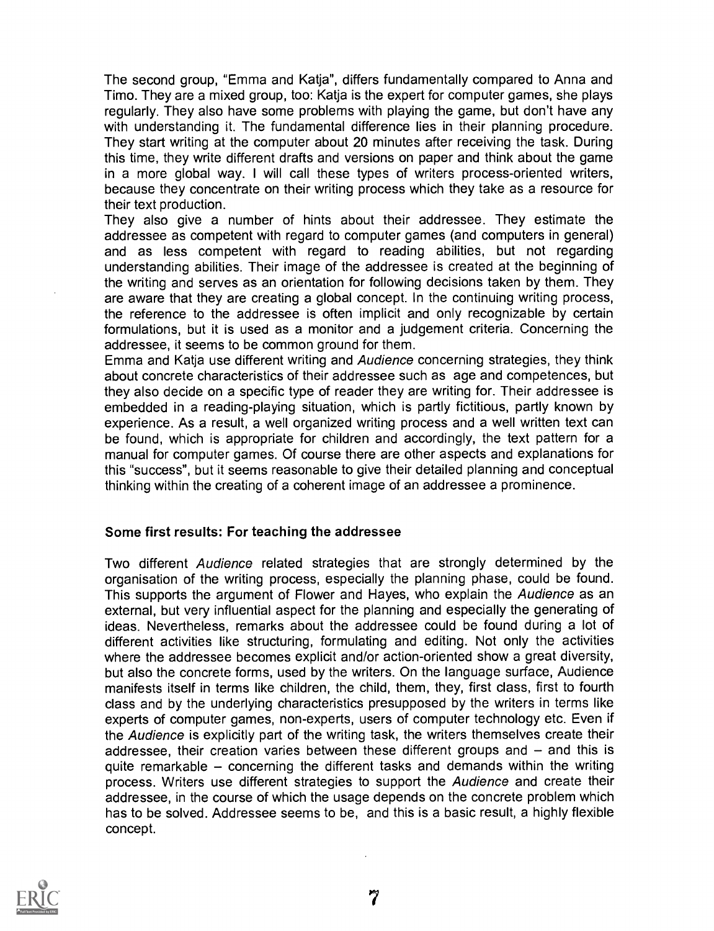The second group, "Emma and Katja", differs fundamentally compared to Anna and Timo. They are a mixed group, too: Katja is the expert for computer games, she plays regularly. They also have some problems with playing the game, but don't have any with understanding it. The fundamental difference lies in their planning procedure. They start writing at the computer about 20 minutes after receiving the task. During this time, they write different drafts and versions on paper and think about the game in a more global way. <sup>I</sup> will call these types of writers process-oriented writers, because they concentrate on their writing process which they take as a resource for their text production.

They also give a number of hints about their addressee. They estimate the addressee as competent with regard to computer games (and computers in general) and as less competent with regard to reading abilities, but not regarding understanding abilities. Their image of the addressee is created at the beginning of the writing and serves as an orientation for following decisions taken by them. They are aware that they are creating a global concept. In the continuing writing process, the reference to the addressee is often implicit and only recognizable by certain formulations, but it is used as a monitor and a judgement criteria. Concerning the addressee, it seems to be common ground for them.

Emma and Katja use different writing and Audience concerning strategies, they think about concrete characteristics of their addressee such as age and competences, but they also decide on a specific type of reader they are writing for. Their addressee is embedded in a reading-playing situation, which is partly fictitious, partly known by experience. As a result, a well organized writing process and a well written text can be found, which is appropriate for children and accordingly, the text pattern for a manual for computer games. Of course there are other aspects and explanations for this "success", but it seems reasonable to give their detailed planning and conceptual thinking within the creating of a coherent image of an addressee a prominence.

#### Some first results: For teaching the addressee

Two different Audience related strategies that are strongly determined by the organisation of the writing process, especially the planning phase, could be found. This supports the argument of Flower and Hayes, who explain the Audience as an external, but very influential aspect for the planning and especially the generating of ideas. Nevertheless, remarks about the addressee could be found during a lot of different activities like structuring, formulating and editing. Not only the activities where the addressee becomes explicit and/or action-oriented show a great diversity, but also the concrete forms, used by the writers. On the language surface, Audience manifests itself in terms like children, the child, them, they, first class, first to fourth class and by the underlying characteristics presupposed by the writers in terms like experts of computer games, non-experts, users of computer technology etc. Even if the Audience is explicitly part of the writing task, the writers themselves create their addressee, their creation varies between these different groups and  $-$  and this is quite remarkable  $-$  concerning the different tasks and demands within the writing process. Writers use different strategies to support the Audience and create their addressee, in the course of which the usage depends on the concrete problem which has to be solved. Addressee seems to be, and this is a basic result, a highly flexible concept.

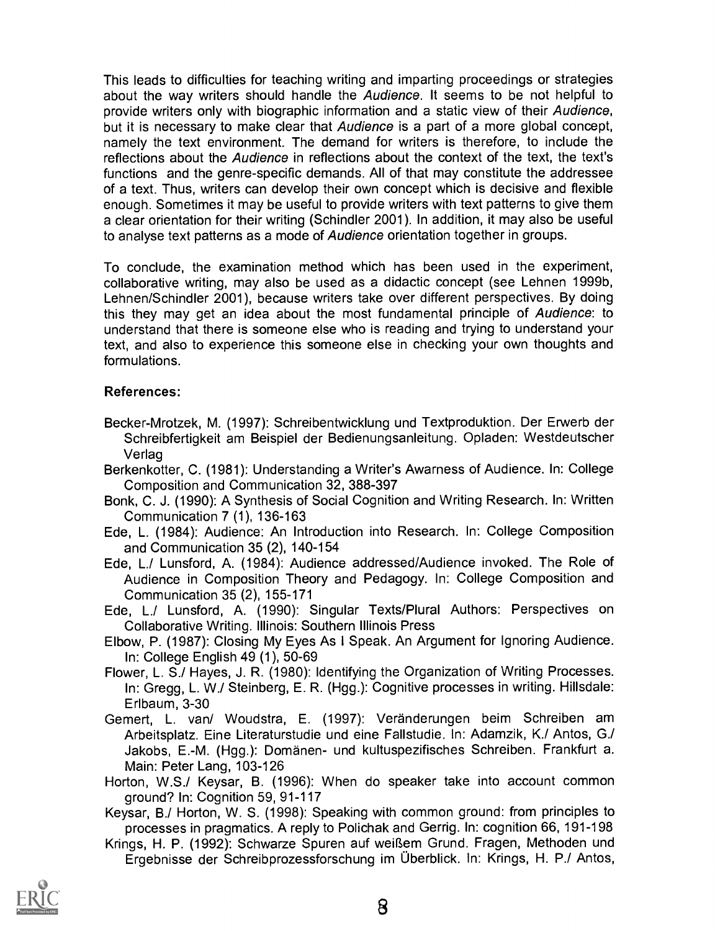This leads to difficulties for teaching writing and imparting proceedings or strategies about the way writers should handle the Audience. It seems to be not helpful to provide writers only with biographic information and a static view of their Audience, but it is necessary to make clear that Audience is a part of a more global concept, namely the text environment. The demand for writers is therefore, to include the reflections about the Audience in reflections about the context of the text, the text's functions and the genre-specific demands. All of that may constitute the addressee of a text. Thus, writers can develop their own concept which is decisive and flexible enough. Sometimes it may be useful to provide writers with text patterns to give them a clear orientation for their writing (Schindler 2001). In addition, it may also be useful to analyse text patterns as a mode of Audience orientation together in groups.

To conclude, the examination method which has been used in the experiment, collaborative writing, may also be used as a didactic concept (see Lehnen 1999b, Lehnen/Schindler 2001), because writers take over different perspectives. By doing this they may get an idea about the most fundamental principle of Audience: to understand that there is someone else who is reading and trying to understand your text, and also to experience this someone else in checking your own thoughts and formulations.

### References:

- Becker-Mrotzek, M. (1997): Schreibentwicklung und Textproduktion. Der Erwerb der Schreibfertigkeit am Beispiel der Bedienungsanleitung. Opladen: Westdeutscher Verlag
- Berkenkotter, C. (1981): Understanding a Writer's Awarness of Audience. In: College Composition and Communication 32, 388-397
- Bonk, C. J. (1990): A Synthesis of Social Cognition and Writing Research. In: Written Communication 7 (1), 136-163
- Ede, L. (1984): Audience: An Introduction into Research. In: College Composition and Communication 35 (2), 140-154
- Ede, L./ Lunsford, A. (1984): Audience addressed/Audience invoked. The Role of Audience in Composition Theory and Pedagogy. In: College Composition and Communication 35 (2), 155-171
- Ede, L./ Lunsford, A. (1990): Singular Texts/Plural Authors: Perspectives on Collaborative Writing. Illinois: Southern Illinois Press
- Elbow, P. (1987): Closing My Eyes As I Speak. An Argument for Ignoring Audience. In: College English 49 (1), 50-69
- Flower, L. S./ Hayes, J. R. (1980): Identifying the Organization of Writing Processes. In: Gregg, L. W./ Steinberg, E. R. (Hgg.): Cognitive processes in writing. Hillsdale: Erlbaum, 3-30
- Gernert, L. van/ Woudstra, E. (1997): Veranderungen beim Schreiben am Arbeitsplatz. Eine Literaturstudie und eine Fallstudie. In: Adamzik, K./ Antos, G./ Jakobs, E.-M. (Hgg.): Domanen- und kultuspezifisches Schreiben. Frankfurt a. Main: Peter Lang, 103-126
- Horton, W.S./ Keysar, B. (1996): When do speaker take into account common ground? In: Cognition 59, 91-117
- Keysar, B./ Horton, W. S. (1998): Speaking with common ground: from principles to processes in pragmatics. A reply to Polichak and Gerrig. In: cognition 66, 191-198
- Krings, H. P. (1992): Schwarze Spuren auf weiRem Grund. Fragen, Methoden und Ergebnisse der Schreibprozessforschung im Überblick. In: Krings, H. P./ Antos,

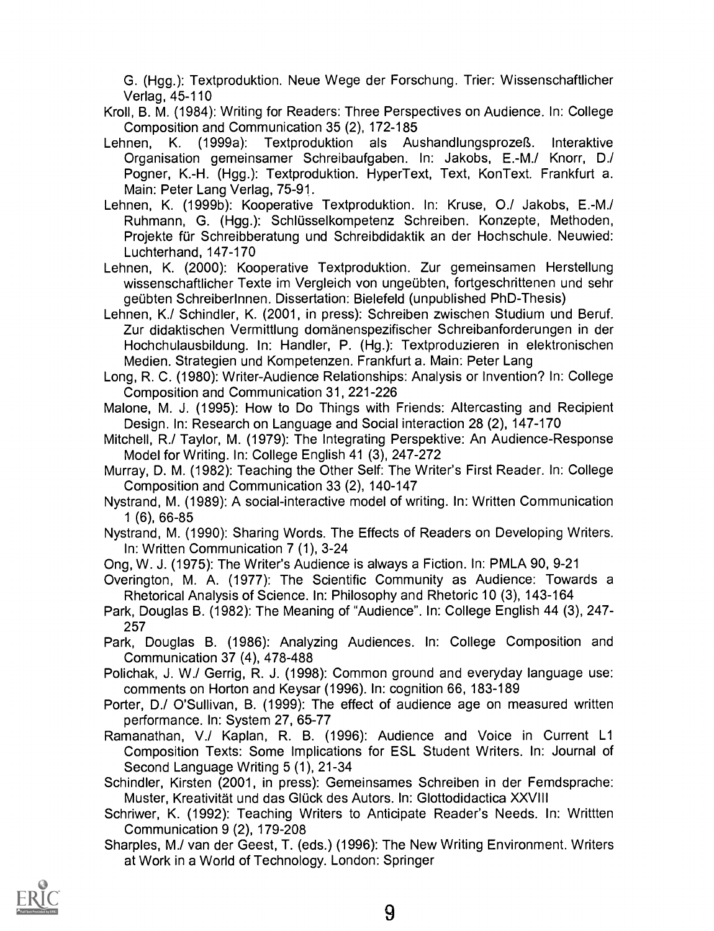G. (Hgg.): Textproduktion. Neue Wege der Forschung. Trier: Wissenschaftlicher Verlag, 45-110

- Kroll, B. M. (1984): Writing for Readers: Three Perspectives on Audience. In: College Composition and Communication 35 (2), 172-185
- Lehnen, K. (1999a): Textproduktion als Aushandlungsprozeß. Interaktive Organisation gemeinsamer Schreibaufgaben. In: Jakobs, E.-M./ Knorr, D./ Pogner, K.-H. (Hgg.): Textproduktion. HyperText, Text, KonText. Frankfurt a. Main: Peter Lang Verlag, 75-91.
- Lehnen, K. (1999b): Kooperative Textproduktion. In: Kruse, 0./ Jakobs, E.-M./ Ruhmann, G. (Hgg.): Schlusselkompetenz Schreiben. Konzepte, Methoden, Projekte für Schreibberatung und Schreibdidaktik an der Hochschule. Neuwied: Luchterhand, 147-170
- Lehnen, K. (2000): Kooperative Textproduktion. Zur gemeinsamen Herstellung wissenschaftlicher Texte im Vergleich von ungeübten, fortgeschrittenen und sehr geübten SchreiberInnen. Dissertation: Bielefeld (unpublished PhD-Thesis)
- Lehnen, K./ Schindler, K. (2001, in press): Schreiben zwischen Studium und Beruf. Zur didaktischen Vermittlung domänenspezifischer Schreibanforderungen in der Hochchulausbildung. In: Handler, P. (Hg.): Textproduzieren in elektronischen Medien. Strategien und Kompetenzen. Frankfurt a. Main: Peter Lang
- Long, R. C. (1980): Writer-Audience Relationships: Analysis or Invention? In: College Composition and Communication 31, 221-226

Malone, M. J. (1995): How to Do Things with Friends: Altercasting and Recipient Design. In: Research on Language and Social interaction 28 (2), 147-170

- Mitchell, R./ Taylor, M. (1979): The Integrating Perspektive: An Audience-Response Model for Writing. In: College English 41 (3), 247-272
- Murray, D. M. (1982): Teaching the Other Self: The Writer's First Reader. In: College Composition and Communication 33 (2), 140-147
- Nystrand, M. (1989): A social-interactive model of writing. In: Written Communication 1 (6), 66-85
- Nystrand, M. (1990): Sharing Words. The Effects of Readers on Developing Writers. In: Written Communication 7 (1), 3-24

Ong, W. J. (1975): The Writer's Audience is always a Fiction. In: PMLA 90, 9-21

- Overington, M. A. (1977): The Scientific Community as Audience: Towards a Rhetorical Analysis of Science. In: Philosophy and Rhetoric 10 (3), 143-164
- Park, Douglas B. (1982): The Meaning of "Audience". In: College English 44 (3), 247- 257
- Park, Douglas B. (1986): Analyzing Audiences. In: College Composition and Communication 37 (4), 478-488
- Polichak, J. W./ Gerrig, R. J. (1998): Common ground and everyday language use: comments on Horton and Keysar (1996). In: cognition 66, 183-189
- Porter, D./ O'Sullivan, B. (1999): The effect of audience age on measured written performance. In: System 27, 65-77
- Ramanathan, V./ Kaplan, R. B. (1996): Audience and Voice in Current L1 Composition Texts: Some Implications for ESL Student Writers. In: Journal of Second Language Writing 5 (1), 21-34
- Schindler, Kirsten (2001, in press): Gemeinsames Schreiben in der Femdsprache: Muster, Kreativität und das Glück des Autors. In: Glottodidactica XXVIII
- Schriwer, K. (1992): Teaching Writers to Anticipate Reader's Needs. In: Writtten Communication 9 (2), 179-208
- Sharpies, M./ van der Geest, T. (eds.) (1996): The New Writing Environment. Writers at Work in a World of Technology. London: Springer

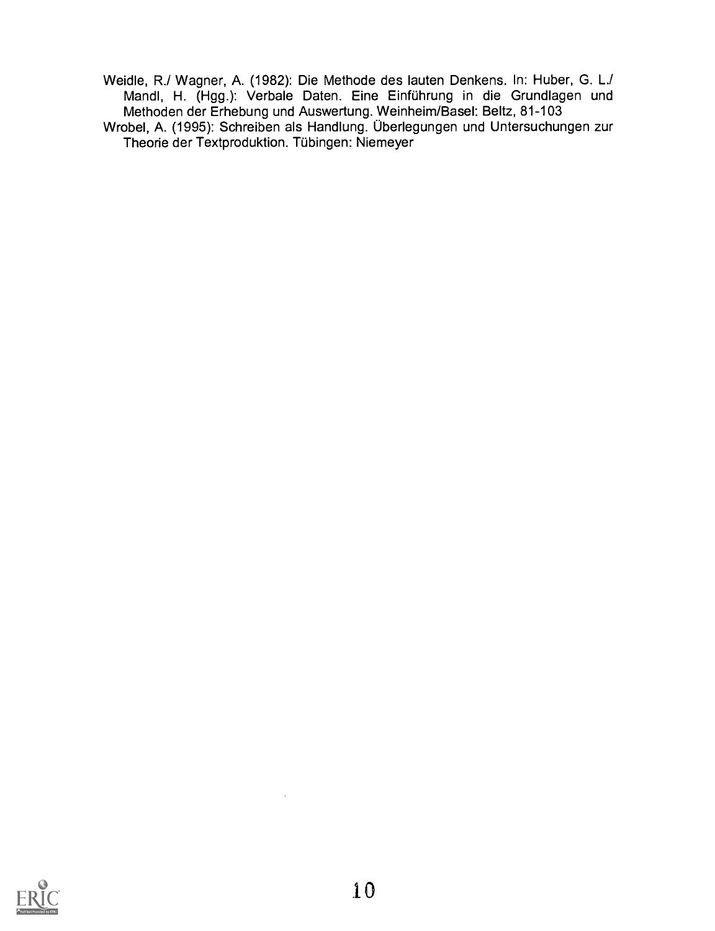Weidle, R./ Wagner, A. (1982): Die Methode des lauten Denkens. In: Huber, G. L./ Mandl, H. (Hgg.): Verbale Daten. Eine Einfuhrung in die Grundlagen und Methoden der Erhebung und Auswertung. Weinheim/Basel: Beltz, 81-103

Wrobel, A. (1995): Schreiben als Handlung. Überlegungen und Untersuchungen zur Theorie der Textproduktion. Tubingen: Niemeyer

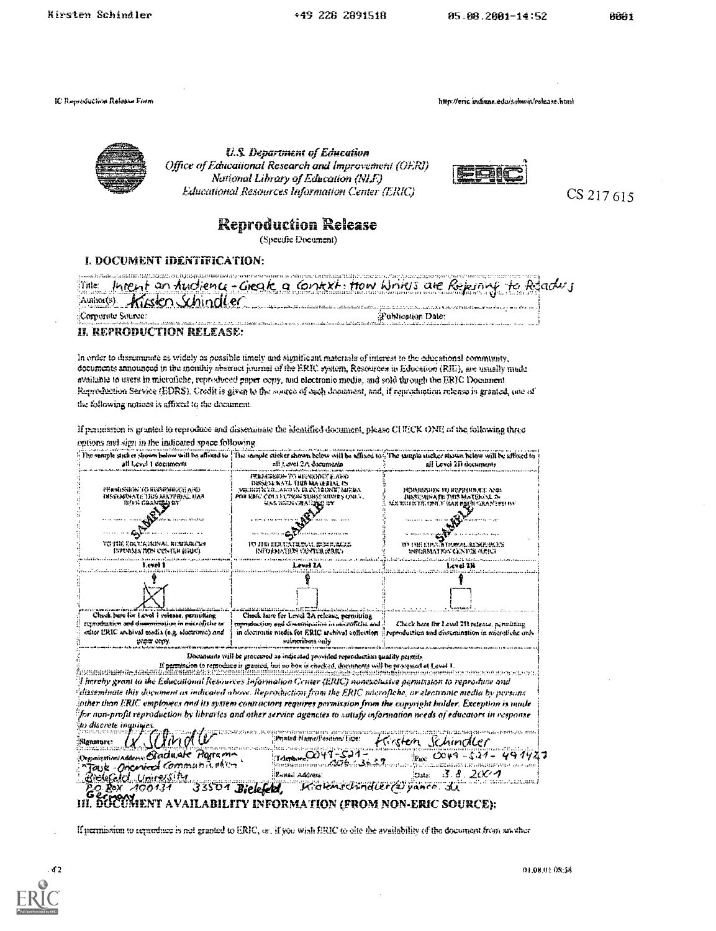Kirsten Schindler

+49 228 2891518

IC Reproduction Release Form

http://eric.indiana.edu/sobioit/release.html



**U.S. Department of Education** Office of Educational Research and Improvement (OERJ) National Library of Education (NLE) Educational Resources Information Center (ERIC)



CS 217 615

# **Reproduction Release**

(Specific Document)

#### I. DOCUMENT IDENTIFICATION:

| Title:                      | Intent an furtiony-Greate a Context, How Write's are Rejemply to Relady                                                                                                                                                        |
|-----------------------------|--------------------------------------------------------------------------------------------------------------------------------------------------------------------------------------------------------------------------------|
|                             |                                                                                                                                                                                                                                |
| Author(s) Kingden Schindler | ان است المؤسسات التي وقد من الإسفار (منظمة المدينة المدينة المدينة المدينة المدينة) المدينة المدينة المدينة المدينة المدينة المدينة المدينة                                                                                    |
| ::Corporate Source:         | <b>Publication Date:</b>                                                                                                                                                                                                       |
|                             | The consideration of the committed and the committed of the committed of the consideration of the committed of the committed of the committed of the committed of the committed of the committed of the committed of the commi |
|                             |                                                                                                                                                                                                                                |

**II. REPRODUCTION RELEASE:** 

In order to disseminate as widely as possible timely and significant materials of interest to the educational community, documents announced in the monthly abstract journal of the ERIC system, Resources in Education (RIE), see usually made available to users in microfiche, reproduced paper copy, and electronic media, and sold through the ERIC Document Reproduction Service (EDRS). Credit is given to the source of each document, and, if reproduction release is granted, one of the following notices is affixed to the document.

If permission is granted to reproduce and disseminate the identified document, please CUECK ONE of the following three options and sign in the indicated space following.

| ali Level 1 documents                                                                                                                                                                                        | nii Level 2A documenta                                                                                                                                                                                                                                                                                                                                                     | . The sample sticker shown below will be affixed to $\Box$ The sample sticker movem below will be affixed to<br>ail Level 211 documents |  |
|--------------------------------------------------------------------------------------------------------------------------------------------------------------------------------------------------------------|----------------------------------------------------------------------------------------------------------------------------------------------------------------------------------------------------------------------------------------------------------------------------------------------------------------------------------------------------------------------------|-----------------------------------------------------------------------------------------------------------------------------------------|--|
| <b><i>FERMISHOW TO KISTRONIK CEAND</i></b><br>BNSSKMINATE TIKS MATERIAL HAN<br>туға салыққа өт<br>to ine editizibiral hemerika                                                                               | гталгаагаан томпоголог а лан<br>DISSENTRATE THIS MAYERIAL IS<br>mr.huén edaro as er ecienté meldi<br>for EDIC Colligtion Tibsexhmes Only.<br>HAS BREN CHATCHED BY                                                                                                                                                                                                          | рсидения тререшесе але<br>わいち いいえげし げのき いってだんいようこ<br>mik vide icepij cibre. V tiak biberi cika ne bij ba<br>8 12 8 21 RLMA DI LA        |  |
| ISPORMATION CUNTER HELLO                                                                                                                                                                                     | WITCHMATHY CENTER GERRY<br>Level IA                                                                                                                                                                                                                                                                                                                                        | WEGRMATKE GENTREHREG<br>level 2%                                                                                                        |  |
|                                                                                                                                                                                                              |                                                                                                                                                                                                                                                                                                                                                                            |                                                                                                                                         |  |
| Chical here for Level 1 release, permitting<br>retroduction and dissemination in matrofiche or<br>other URIC archival media (e.g. electronic) and<br>paper copy                                              | Check here for Level 2A release, permitting<br>reproduction and disconsistion in initialitie and<br>in electronic niedia for ERIC archival collection<br>sultaribots only                                                                                                                                                                                                  | Check here for Lovel 213 release, normating<br>reproduction and dissumination in microfiche unly                                        |  |
|                                                                                                                                                                                                              | Documents will be processed as indicated provided reproduction quality permis-<br>If permission to remoduce is granted, but no box is checked, decompany will be provessed at Lovel E.                                                                                                                                                                                     |                                                                                                                                         |  |
|                                                                                                                                                                                                              | disseminate this document as indicated above. Reproduction from the ERIC wacrofiche, or electronic media by persons<br>iother than JiRIC employees and its system contractors requires permission from the copyright holder. Exception is made<br>for non-profit reproduction by libraries and other service agencies to sutisfy information weds of educators in response |                                                                                                                                         |  |
| l hereby grant to the Educational Resources Information Center (ERIC) nonexclusive permission to reproduce and<br>ito discrete inquiries.<br>(/YindU<br>:Nonstare:<br>Organization/Address: Staduate Plogram | Printed Name/Position/Fitle:                                                                                                                                                                                                                                                                                                                                               | Hirsten Schindler<br>$P_{\text{max}}$ $Cov9 - 521 - 491927$                                                                             |  |

If permission to reproduce is not granted to ERIC, or, if you wish ERIC to olte the availability of the document from musther



01.08.01.08:58